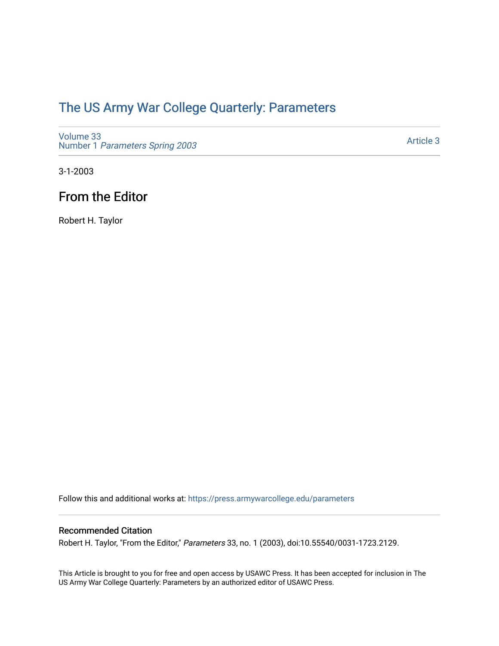## [The US Army War College Quarterly: Parameters](https://press.armywarcollege.edu/parameters)

[Volume 33](https://press.armywarcollege.edu/parameters/vol33) Number 1 [Parameters Spring 2003](https://press.armywarcollege.edu/parameters/vol33/iss1) 

[Article 3](https://press.armywarcollege.edu/parameters/vol33/iss1/3) 

3-1-2003

## From the Editor

Robert H. Taylor

Follow this and additional works at: [https://press.armywarcollege.edu/parameters](https://press.armywarcollege.edu/parameters?utm_source=press.armywarcollege.edu%2Fparameters%2Fvol33%2Fiss1%2F3&utm_medium=PDF&utm_campaign=PDFCoverPages) 

### Recommended Citation

Robert H. Taylor, "From the Editor," Parameters 33, no. 1 (2003), doi:10.55540/0031-1723.2129.

This Article is brought to you for free and open access by USAWC Press. It has been accepted for inclusion in The US Army War College Quarterly: Parameters by an authorized editor of USAWC Press.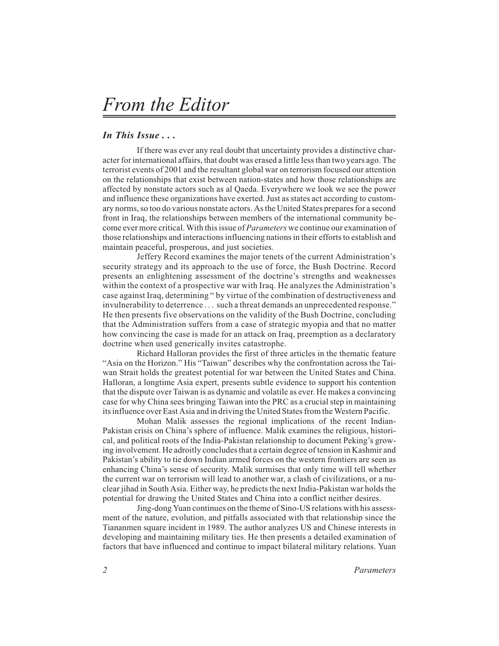# *From the Editor*

#### *In This Issue...*

If there was ever any real doubt that uncertainty provides a distinctive character for international affairs, that doubt was erased a little less than two years ago. The terrorist events of 2001 and the resultant global war on terrorism focused our attention on the relationships that exist between nation-states and how those relationships are affected by nonstate actors such as al Qaeda. Everywhere we look we see the power and influence these organizations have exerted. Just as states act according to customary norms, so too do various nonstate actors. As the United States prepares for a second front in Iraq, the relationships between members of the international community become ever more critical. With this issue of *Parameters* we continue our examination of those relationships and interactions influencing nations in their efforts to establish and maintain peaceful, prosperous, and just societies.

Jeffery Record examines the major tenets of the current Administration's security strategy and its approach to the use of force, the Bush Doctrine. Record presents an enlightening assessment of the doctrine's strengths and weaknesses within the context of a prospective war with Iraq. He analyzes the Administration's case against Iraq, determining " by virtue of the combination of destructiveness and invulnerability to deterrence... such a threat demands an unprecedented response." He then presents five observations on the validity of the Bush Doctrine, concluding that the Administration suffers from a case of strategic myopia and that no matter how convincing the case is made for an attack on Iraq, preemption as a declaratory doctrine when used generically invites catastrophe.

Richard Halloran provides the first of three articles in the thematic feature "Asia on the Horizon." His "Taiwan" describes why the confrontation across the Taiwan Strait holds the greatest potential for war between the United States and China. Halloran, a longtime Asia expert, presents subtle evidence to support his contention that the dispute over Taiwan is as dynamic and volatile as ever. He makes a convincing case for why China sees bringing Taiwan into the PRC as a crucial step in maintaining its influence over East Asia and in driving the United States from the Western Pacific.

Mohan Malik assesses the regional implications of the recent Indian-Pakistan crisis on China's sphere of influence. Malik examines the religious, historical, and political roots of the India-Pakistan relationship to document Peking's growing involvement. He adroitly concludes that a certain degree of tension in Kashmir and Pakistan's ability to tie down Indian armed forces on the western frontiers are seen as enhancing China's sense of security. Malik surmises that only time will tell whether the current war on terrorism will lead to another war, a clash of civilizations, or a nuclear jihad in South Asia. Either way, he predicts the next India-Pakistan war holds the potential for drawing the United States and China into a conflict neither desires.

Jing-dong Yuan continues on the theme of Sino-US relations with his assessment of the nature, evolution, and pitfalls associated with that relationship since the Tiananmen square incident in 1989. The author analyzes US and Chinese interests in developing and maintaining military ties. He then presents a detailed examination of factors that have influenced and continue to impact bilateral military relations. Yuan